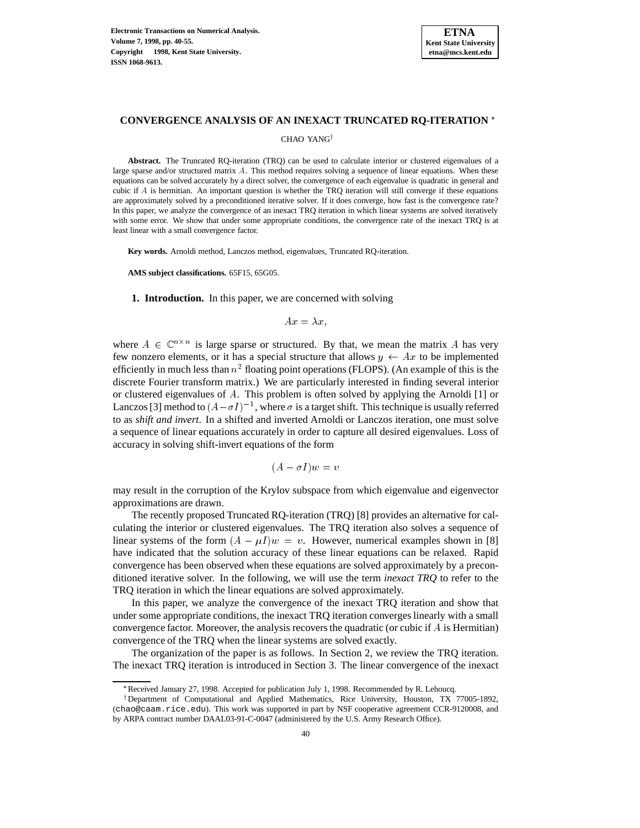

### **CONVERGENCE ANALYSIS OF AN INEXACT TRUNCATED RQ-ITERATION**

CHAO YANG<sup>†</sup>

**Abstract.** The Truncated RQ-iteration (TRQ) can be used to calculate interior or clustered eigenvalues of a large sparse and/or structured matrix  $A$ . This method requires solving a sequence of linear equations. When these equations can be solved accurately by a direct solver, the convergence of each eigenvalue is quadratic in general and cubic if  $A$  is hermitian. An important question is whether the TRQ iteration will still converge if these equations are approximately solved by a preconditioned iterative solver. If it does converge, how fast is the convergence rate? In this paper, we analyze the convergence of an inexact TRQ iteration in which linear systems are solved iteratively with some error. We show that under some appropriate conditions, the convergence rate of the inexact TRQ is at least linear with a small convergence factor.

**Key words.** Arnoldi method, Lanczos method, eigenvalues, Truncated RQ-iteration.

**AMS subject classifications.** 65F15, 65G05.

**1. Introduction.** In this paper, we are concerned with solving

$$
Ax = \lambda x,
$$

where  $A \in \mathbb{C}^{n \times n}$  is large sparse or structured. By that, we mean the matrix A has very few nonzero elements, or it has a special structure that allows  $y \leftarrow Ax$  to be implemented efficiently in much less than  $n^2$  floating point operations (FLOPS). (An example of this is the discrete Fourier transform matrix.) We are particularly interested in finding several interior or clustered eigenvalues of A. This problem is often solved by applying the Arnoldi [1] or Lanczos [3] method to  $(A - \sigma I)^{-1}$ , where  $\sigma$  is a target shift. This technique is usually referred to as *shift and invert*. In a shifted and inverted Arnoldi or Lanczos iteration, one must solve a sequence of linear equations accurately in order to capture all desired eigenvalues. Loss of accuracy in solving shift-invert equations of the form

$$
(A - \sigma I)w = v
$$

may result in the corruption of the Krylov subspace from which eigenvalue and eigenvector approximations are drawn.

The recently proposed Truncated RQ-iteration (TRQ) [8] provides an alternative for calculating the interior or clustered eigenvalues. The TRQ iteration also solves a sequence of linear systems of the form  $(A - \mu I)w = v$ . However, numerical examples shown in [8] have indicated that the solution accuracy of these linear equations can be relaxed. Rapid convergence has been observed when these equations are solved approximately by a preconditioned iterative solver. In the following, we will use the term *inexact TRQ* to refer to the TRQ iteration in which the linear equations are solved approximately.

In this paper, we analyze the convergence of the inexact TRQ iteration and show that under some appropriate conditions, the inexact TRQ iteration converges linearly with a small convergence factor. Moreover, the analysis recovers the quadratic (or cubic if  $\tilde{A}$  is Hermitian) convergence of the TRQ when the linear systems are solved exactly.

The organization of the paper is as follows. In Section 2, we review the TRQ iteration. The inexact TRQ iteration is introduced in Section 3. The linear convergence of the inexact

Received January 27, 1998. Accepted for publication July 1, 1998. Recommended by R. Lehoucq.

<sup>&</sup>lt;sup>†</sup>Department of Computational and Applied Mathematics, Rice University, Houston, TX 77005-1892, (chao@caam.rice.edu). This work was supported in part by NSF cooperative agreement CCR-9120008, and by ARPA contract number DAAL03-91-C-0047 (administered by the U.S. Army Research Office).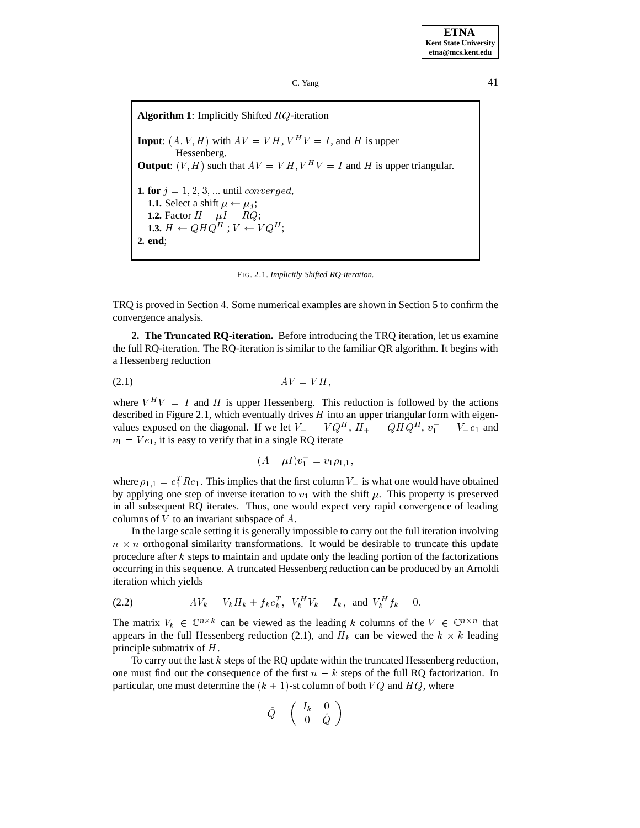**Algorithm 1**: Implicitly Shifted RQ-iteration **Input**:  $(A, V, H)$  with  $AV = VH$ ,  $V^H V = I$ , and H is upper Hessenberg. **Output**:  $(V, H)$  such that  $AV = VH, V^H V = I$  and H is upper triangular. **1. for**  $j = 1, 2, 3, \ldots$  until converged, **1.1.** Select a shift  $\mu \leftarrow \mu_i$ ; **1.2.** Factor  $H - \mu I = RQ$ ; **1.3.**  $H \leftarrow Q H Q^H$ ;  $V \leftarrow V Q^H$ ; **2. end**;

FIG. 2.1. *Implicitly Shifted RQ-iteration.*

TRQ is proved in Section 4. Some numerical examples are shown in Section 5 to confirm the convergence analysis.

**2. The Truncated RQ-iteration.** Before introducing the TRQ iteration, let us examine the full RQ-iteration. The RQ-iteration is similar to the familiar QR algorithm. It begins with a Hessenberg reduction

$$
(2.1) \t\t AV = VH,
$$

where  $V^H V = I$  and H is upper Hessenberg. This reduction is followed by the actions described in Figure 2.1, which eventually drives  $H$  into an upper triangular form with eigenvalues exposed on the diagonal. If we let  $V_+ = VQ^H$ ,  $H_+ = QHQ^H$ ,  $v_1^+ = V_+e_1$  and  $v_1 = V e_1$ , it is easy to verify that in a single RQ iterate

$$
(A - \mu I)v_1^+ = v_1 \rho_{1,1},
$$

where  $\rho_{1,1} = e_1^T Re_1$ . This implies that the first column  $V_+$  is what one would have obtained by applying one step of inverse iteration to  $v_1$  with the shift  $\mu$ . This property is preserved in all subsequent RQ iterates. Thus, one would expect very rapid convergence of leading columns of  $V$  to an invariant subspace of  $A$ .

In the large scale setting it is generally impossible to carry out the full iteration involving  $n \times n$  orthogonal similarity transformations. It would be desirable to truncate this update procedure after <sup>k</sup> steps to maintain and update only the leading portion of the factorizations occurring in this sequence. A truncated Hessenberg reduction can be produced by an Arnoldi iteration which yields

(2.2) 
$$
AV_k = V_k H_k + f_k e_k^T, V_k^H V_k = I_k, \text{ and } V_k^H f_k = 0.
$$

The matrix  $V_k \in \mathbb{C}^{n \times k}$  can be viewed as the leading k columns of the  $V \in \mathbb{C}^{n \times n}$  that appears in the full Hessenberg reduction (2.1), and  $H_k$  can be viewed the  $k \times k$  leading principle submatrix of H.

To carry out the last k steps of the RQ update within the truncated Hessenberg reduction, one must find out the consequence of the first  $n - k$  steps of the full RQ factorization. In particular, one must determine the  $(k + 1)$ -st column of both  $VQ$  and  $HQ$ , where

$$
\tilde{Q}=\left(\begin{array}{cc}I_k&0\\0&\hat{Q}\end{array}\right)
$$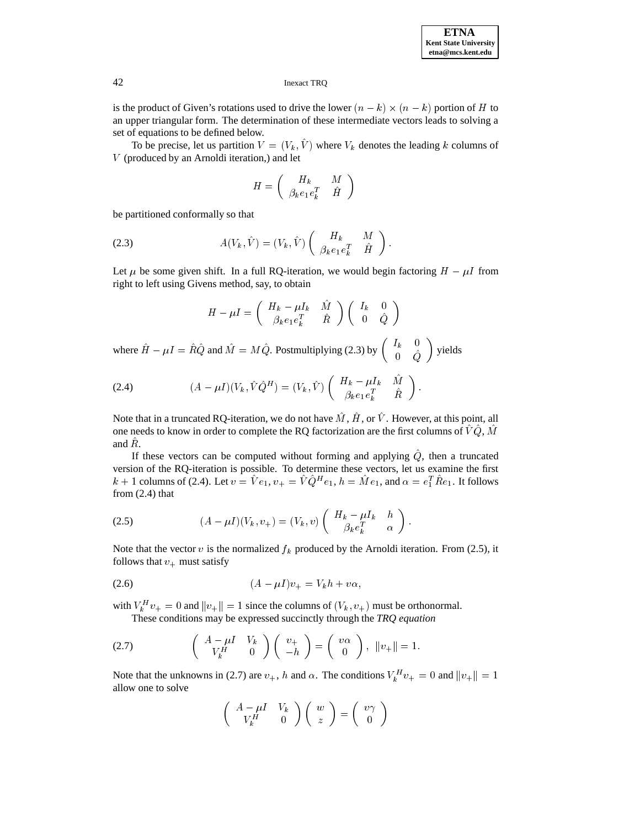is the product of Given's rotations used to drive the lower  $(n - k) \times (n - k)$  portion of H to an upper triangular form. The determination of these intermediate vectors leads to solving a set of equations to be defined below.

To be precise, let us partition  $V = (V_k, \hat{V})$  where  $V_k$  denotes the leading k columns of V (produced by an Arnoldi iteration,) and let

$$
H=\left(\begin{array}{cc}H_k&M\\ \beta_ke_1e_k^T&\hat{H}\end{array}\right)
$$

be partitioned conformally so that

(2.3) 
$$
A(V_k, \hat{V}) = (V_k, \hat{V}) \begin{pmatrix} H_k & M \\ \beta_k e_1 e_k^T & \hat{H} \end{pmatrix}.
$$

Let  $\mu$  be some given shift. In a full RQ-iteration, we would begin factoring  $H - \mu I$  from right to left using Givens method, say, to obtain

$$
H-\mu I=\left(\begin{array}{cc}H_k-\mu I_k & \hat{M}\\ \beta_k e_1e_k^T & \hat{R}\end{array}\right)\left(\begin{array}{cc}I_k & 0\\ 0 & \hat{Q}\end{array}\right)
$$

where  $\hat{H} - \mu I = \hat{R}\hat{Q}$  and  $\hat{M} = M\hat{Q}$ . Postmultiplying (2.3) by  $\begin{pmatrix} I_k & 0 \\ 0 & \hat{Q} \end{pmatrix}$  yields

(2.4) 
$$
(A - \mu I)(V_k, \hat{V}\hat{Q}^H) = (V_k, \hat{V}) \begin{pmatrix} H_k - \mu I_k & \hat{M} \\ \beta_k e_1 e_k^T & \hat{R} \end{pmatrix}.
$$

Note that in a truncated RQ-iteration, we do not have  $\hat{M}$ ,  $\hat{H}$ , or  $\hat{V}$ . However, at this point, all one needs to know in order to complete the RQ factorization are the first columns of  $\hat{V}\hat{Q}$ ,  $\hat{M}$ and  $\hat{R}$ .

If these vectors can be computed without forming and applying  $Q$ , then a truncated version of the RQ-iteration is possible. To determine these vectors, let us examine the first  $k + 1$  columns of (2.4). Let  $v = Ve_1$ ,  $v_+ = VQ^H e_1$ ,  $h = Me_1$ , and  $\alpha = e_1^T Re_1$ . It follows from  $(2.4)$  that

$$
(2.5) \qquad (A - \mu I)(V_k, v_+) = (V_k, v) \begin{pmatrix} H_k - \mu I_k & h \\ \beta_k e_k^T & \alpha \end{pmatrix}.
$$

Note that the vector v is the normalized  $f_k$  produced by the Arnoldi iteration. From (2.5), it follows that  $v_+$  must satisfy

$$
(2.6) \qquad (A - \mu I)v_+ = V_k h + v\alpha,
$$

with  $V_k^H v_+ = 0$  and  $||v_+|| = 1$  since the columns of  $(V_k, v_+)$  must be orthonormal.

These conditions may be expressed succinctly through the *TRQ equation*

(2.7) 
$$
\begin{pmatrix} A - \mu I & V_k \\ V_k^H & 0 \end{pmatrix} \begin{pmatrix} v_+ \\ -h \end{pmatrix} = \begin{pmatrix} v\alpha \\ 0 \end{pmatrix}, \quad ||v_+|| = 1.
$$

Note that the unknowns in (2.7) are  $v_+$ , h and  $\alpha$ . The conditions  $V_k^H v_+ = 0$  and  $||v_+|| = 1$ allow one to solve

$$
\left(\begin{array}{cc}A-\mu I & V_k \\ V_k^H & 0\end{array}\right)\left(\begin{array}{c}w \\ z\end{array}\right)=\left(\begin{array}{c}v\gamma \\ 0\end{array}\right)
$$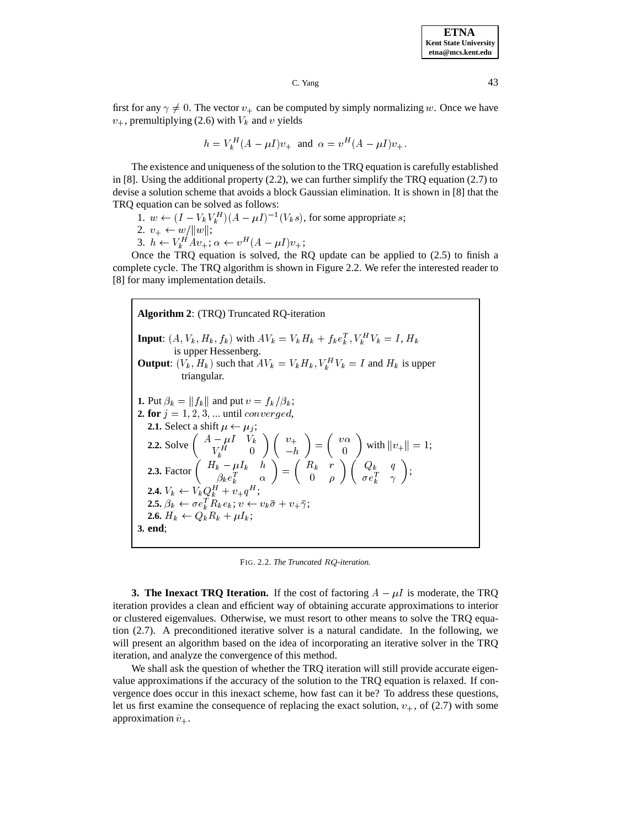first for any  $\gamma \neq 0$ . The vector  $v_+$  can be computed by simply normalizing w. Once we have  $v_+$ , premultiplying (2.6) with  $V_k$  and v yields

$$
h = V_k^H (A - \mu I) v_+
$$
 and  $\alpha = v^H (A - \mu I) v_+.$ 

The existence and uniqueness of the solution to the TRQ equation is carefully established in [8]. Using the additional property (2.2), we can further simplify the TRQ equation (2.7) to devise a solution scheme that avoids a block Gaussian elimination. It is shown in [8] that the TRQ equation can be solved as follows:

1.  $w \leftarrow (I - V_k V_k^H)(A - \mu I)^{-1}(V_k s)$ , for some appropriate s;

$$
2. \ v_+ \leftarrow w / \|w\|;
$$

3.  $h \leftarrow V_k^H A v_+; \alpha \leftarrow v^H (A - \mu I) v_+;$ 

Once the TRQ equation is solved, the RQ update can be applied to (2.5) to finish a complete cycle. The TRQ algorithm is shown in Figure 2.2. We refer the interested reader to [8] for many implementation details.

**Algorithm 2**: (TRQ) Truncated RQ-iteration **Input:**  $(A, V_k, H_k, f_k)$  with  $AV_k = V_k H_k + f_k e_k^T$ ,  $V_k^H V_k = I$ ,  $H_k$ is upper Hessenberg. **Output**:  $(V_k, H_k)$  such that  $AV_k = V_k H_k, V_k^H V_k = I$  and  $H_k$  is upper triangular. **1.** Put  $\beta_k = ||f_k||$  and put  $v = f_k/\beta_k$ ; **2. for**  $j = 1, 2, 3, ...$  until *converged*, **2.1.** Select a shift  $\mu \leftarrow \mu_j$ ; **2.2.** Solve  $\begin{pmatrix} A - \mu I & V_k \ V_k^H & 0 \end{pmatrix} \begin{pmatrix} v_+ \ -h \end{pmatrix} = \begin{pmatrix} v\alpha \\ 0 \end{pmatrix}$  with  $||v_+|| = 1$ ; **2.3.** Factor  $\begin{pmatrix} H_k - \mu I_k & h \\ \beta_k e_k^T & \alpha \end{pmatrix} = \begin{pmatrix} R_k & r \\ 0 & \rho \end{pmatrix} \begin{pmatrix} Q_k & q \\ \sigma e_k^T & \gamma \end{pmatrix};$ **2.4.**  $V_k \leftarrow V_k Q_k^H + v_+ q^H;$  $\boldsymbol{2.5.} \ \beta_k \leftarrow \sigma e_k^T R_k e_k; \ v \leftarrow v_k \bar{\sigma} + v_+ \bar{\gamma};$ **2.6.**  $H_k \leftarrow Q_k R_k + \mu I_k$ ; **3. end**;

FIG. 2.2. *The Truncated* RQ*-iteration.*

**3. The Inexact TRQ Iteration.** If the cost of factoring  $A - \mu I$  is moderate, the TRQ iteration provides a clean and efficient way of obtaining accurate approximations to interior or clustered eigenvalues. Otherwise, we must resort to other means to solve the TRQ equation (2.7). A preconditioned iterative solver is a natural candidate. In the following, we will present an algorithm based on the idea of incorporating an iterative solver in the TRQ iteration, and analyze the convergence of this method.

We shall ask the question of whether the TRQ iteration will still provide accurate eigenvalue approximations if the accuracy of the solution to the TRQ equation is relaxed. If convergence does occur in this inexact scheme, how fast can it be? To address these questions, let us first examine the consequence of replacing the exact solution,  $v_{+}$ , of (2.7) with some approximation  $\tilde{v}_+$ .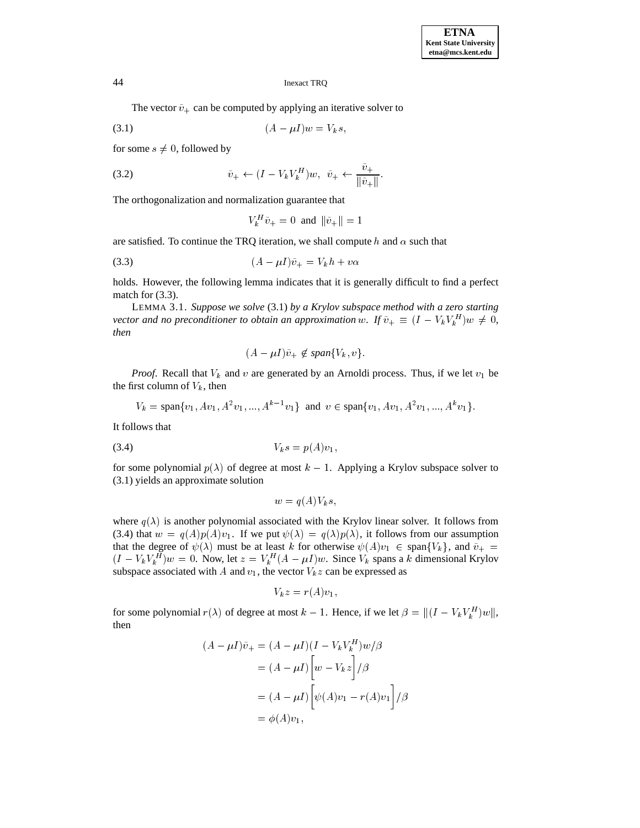The vector  $\tilde{v}_+$  can be computed by applying an iterative solver to

$$
(3.1) \qquad (A - \mu I)w = V_k s,
$$

for some  $s \neq 0$ , followed by

(3.2) 
$$
\tilde{v}_{+} \leftarrow (I - V_{k} V_{k}^{H}) w, \quad \tilde{v}_{+} \leftarrow \frac{v_{+}}{\|\tilde{v}_{+}\|}.
$$

The orthogonalization and normalization guarantee that

$$
V_k^H \tilde{v}_+ = 0 \text{ and } ||\tilde{v}_+|| = 1
$$

are satisfied. To continue the TRQ iteration, we shall compute h and  $\alpha$  such that

$$
(3.3) \qquad (A - \mu I)\tilde{v}_+ = V_k h + v\alpha
$$

holds. However, the following lemma indicates that it is generally difficult to find a perfect match for  $(3.3)$ .

LEMMA 3.1. *Suppose we solve* (3.1) *by a Krylov subspace method with a zero starting vector and no preconditioner to obtain an approximation* w. If  $\tilde{v}_{+} \equiv (I - V_{k}V_{k}^{H})w \neq 0$ , *then*

$$
(A - \mu I)\tilde{v}_+ \not\in span\{V_k, v\}.
$$

*Proof.* Recall that  $V_k$  and v are generated by an Arnoldi process. Thus, if we let  $v_1$  be the first column of  $V_k$ , then

$$
V_k = \text{span}\{v_1, Av_1, A^2v_1, ..., A^{k-1}v_1\} \text{ and } v \in \text{span}\{v_1, Av_1, A^2v_1, ..., A^kv_1\}.
$$

It follows that

$$
(3.4) \t\t Vk s = p(A)v1,
$$

for some polynomial  $p(\lambda)$  of degree at most  $k - 1$ . Applying a Krylov subspace solver to (3.1) yields an approximate solution

$$
w = q(A)V_k s,
$$

where  $q(\lambda)$  is another polynomial associated with the Krylov linear solver. It follows from (3.4) that  $w = q(A)p(A)v_1$ . If we put  $\psi(\lambda) = q(\lambda)p(\lambda)$ , it follows from our assumption that the degree of  $\psi(\lambda)$  must be at least k for otherwise  $\psi(A)v_1 \in \text{span}\{V_k\}$ , and  $\tilde{v}_+ =$  $(I - V_k V_k^H)w = 0$ . Now, let  $z = V_k^H (A - \mu I)w$ . Since  $V_k$  spans a k dimensional Krylov subspace associated with A and  $v_1$ , the vector  $V_k z$  can be expressed as

$$
V_k z = r(A)v_1,
$$

for some polynomial  $r(\lambda)$  of degree at most  $k-1$ . Hence, if we let  $\beta = ||(I - V_k V_k^H)w||$ , then

$$
(A - \mu I)\tilde{v}_{+} = (A - \mu I)(I - V_{k}V_{k}^{H})w/\beta
$$

$$
= (A - \mu I)\left[w - V_{k}z\right]/\beta
$$

$$
= (A - \mu I)\left[\psi(A)v_{1} - r(A)v_{1}\right]/\beta
$$

$$
= \phi(A)v_{1},
$$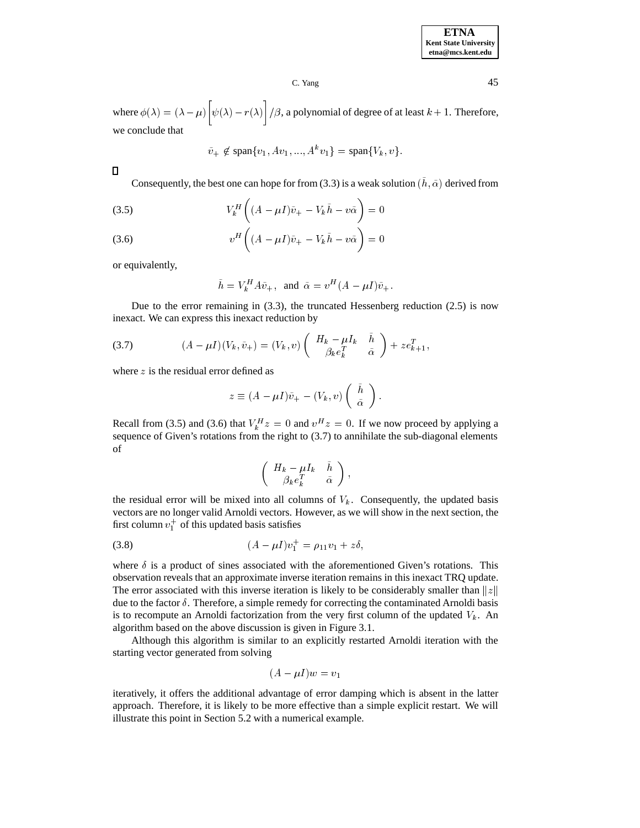where  $\phi(\lambda) = (\lambda - \mu) \left[ \psi(\lambda) - r(\lambda) \right] / \beta$ , a polynomial of degree of at least  $k + 1$ . Therefore, we conclude that

$$
\tilde{v}_{+} \not\in \text{span}\{v_1, Av_1, ..., A^k v_1\} = \text{span}\{V_k, v\}.
$$

 $\Box$ 

Consequently, the best one can hope for from (3.3) is a weak solution  $(\tilde{h}, \tilde{\alpha})$  derived from

(3.5) 
$$
V_k^H \left( (A - \mu I)\tilde{v}_+ - V_k \tilde{h} - v \tilde{\alpha} \right) = 0
$$

(3.6) 
$$
v^H \left( (A - \mu I)\tilde{v}_+ - V_k \tilde{h} - v \tilde{\alpha} \right) = 0
$$

or equivalently,

$$
\tilde{h} = V_k^H A \tilde{v}_+, \text{ and } \tilde{\alpha} = v^H (A - \mu I) \tilde{v}_+.
$$

Due to the error remaining in  $(3.3)$ , the truncated Hessenberg reduction  $(2.5)$  is now inexact. We can express this inexact reduction by

(3.7) 
$$
(A - \mu I)(V_k, \tilde{v}_+) = (V_k, v) \begin{pmatrix} H_k - \mu I_k & \tilde{h} \\ \beta_k e_k^T & \tilde{\alpha} \end{pmatrix} + z e_{k+1}^T,
$$

where  $z$  is the residual error defined as

$$
z \equiv (A - \mu I)\tilde{v}_{+} - (V_k, v) \begin{pmatrix} \tilde{h} \\ \tilde{\alpha} \end{pmatrix}.
$$

Recall from (3.5) and (3.6) that  $V_k^H z = 0$  and  $v^H z = 0$ . If we now proceed by applying a sequence of Given's rotations from the right to  $(3.7)$  to annihilate the sub-diagonal elements of

$$
\left(\begin{array}{cc} H_k-\mu I_k & \tilde{h} \\ \beta_k e_k^T & \tilde{\alpha}\end{array}\right),
$$

the residual error will be mixed into all columns of  $V_k$ . Consequently, the updated basis vectors are no longer valid Arnoldi vectors. However, as we will show in the next section, the first column  $v_1^+$  of this updated basis satisfies

(3.8) 
$$
(A - \mu I)v_1^+ = \rho_{11}v_1 + z\delta,
$$

where  $\delta$  is a product of sines associated with the aforementioned Given's rotations. This observation reveals that an approximate inverse iteration remains in this inexact TRQ update. The error associated with this inverse iteration is likely to be considerably smaller than  $||z||$ due to the factor  $\delta$ . Therefore, a simple remedy for correcting the contaminated Arnoldi basis is to recompute an Arnoldi factorization from the very first column of the updated  $V_k$ . An algorithm based on the above discussion is given in Figure 3.1.

Although this algorithm is similar to an explicitly restarted Arnoldi iteration with the starting vector generated from solving

$$
(A - \mu I)w = v_1
$$

iteratively, it offers the additional advantage of error damping which is absent in the latter approach. Therefore, it is likely to be more effective than a simple explicit restart. We will illustrate this point in Section 5.2 with a numerical example.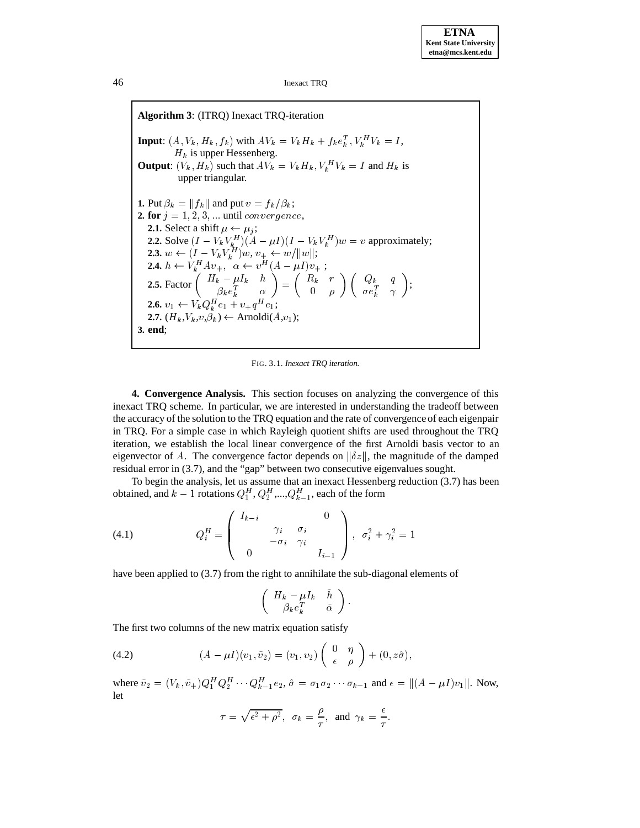**Algorithm 3**: (ITRQ) Inexact TRQ-iteration **Input:**  $(A, V_k, H_k, f_k)$  with  $AV_k = V_k H_k + f_k e_k^T$ ,  $V_k^H V_k = I$ ,  $H_k$  is upper Hessenberg. **Output**:  $(V_k, H_k)$  such that  $AV_k = V_k H_k, V_k^H V_k = I$  and  $H_k$  is upper triangular. **1.** Put  $\beta_k = ||f_k||$  and put  $v = f_k/\beta_k$ ; **2. for**  $j = 1, 2, 3, \ldots$  until *convergence*, **2.1.** Select a shift  $\mu \leftarrow \mu_i$ ; **2.2.** Solve  $(I - V_k V_k^H)(A - \mu I)(I - V_k V_k^H)w = v$  approximately; **2.3.**  $w \leftarrow (I - V_k V_k^H) w, v_+ \leftarrow w/||w||;$ **2.4.**  $h \leftarrow V_k^H A v_+, \ \alpha \leftarrow v^H (A - \mu I) v_+$ ; **2.5.** Factor  $\begin{pmatrix} H_k - \mu I_k & h \\ \beta_k e_k^T & \alpha \end{pmatrix} = \begin{pmatrix} R_k & r \\ 0 & \rho \end{pmatrix} \begin{pmatrix} h_k & h_k \end{pmatrix}$  $\cdot$   $\cdot$   $\cdot$   $\cdot$   $\cdot$   $\cdot$   $\cdot$  $\begin{array}{cc} R_k & r \ 0 & \rho \end{array} \bigg) \left( \begin{array}{cc} Q_k & q \ \sigma e_k^T & \gamma \end{array} \right);$ **2.6.**  $v_1 \leftarrow V_k Q_k^H e_1 + v_+ q^H e_1;$ **2.7.**  $(H_k, V_k, v, \hat{\beta}_k) \leftarrow \text{Arnoldi}(A, v_1);$ **3. end**;

FIG. 3.1. *Inexact TRQ iteration.*

**4. Convergence Analysis.** This section focuses on analyzing the convergence of this inexact TRQ scheme. In particular, we are interested in understanding the tradeoff between the accuracy of the solution to the TRQ equation and the rate of convergence of each eigenpair in TRQ. For a simple case in which Rayleigh quotient shifts are used throughout the TRQ iteration, we establish the local linear convergence of the first Arnoldi basis vector to an eigenvector of A. The convergence factor depends on  $\|\delta z\|$ , the magnitude of the damped residual error in (3.7), and the "gap" between two consecutive eigenvalues sought.

To begin the analysis, let us assume that an inexact Hessenberg reduction (3.7) has been obtained, and  $k-1$  rotations  $Q_1^H, Q_2^H, ..., Q_{k-1}^H$ , each of the form

(4.1) 
$$
Q_i^H = \begin{pmatrix} I_{k-i} & 0 \\ \gamma_i & \sigma_i \\ -\sigma_i & \gamma_i \\ 0 & I_{i-1} \end{pmatrix}, \sigma_i^2 + \gamma_i^2 = 1
$$

have been applied to (3.7) from the right to annihilate the sub-diagonal elements of

$$
\left(\begin{array}{cc} H_k-\mu I_k & \tilde{h} \\ \beta_k e_k^T & \tilde{\alpha}\end{array}\right).
$$

The first two columns of the new matrix equation satisfy

(4.2) 
$$
(A - \mu I)(v_1, \tilde{v}_2) = (v_1, v_2) \begin{pmatrix} 0 & \eta \\ \epsilon & \rho \end{pmatrix} + (0, z\hat{\sigma}),
$$

where  $\tilde{v}_2 = (V_k, \tilde{v}_+) Q_1^H Q_2^H \cdots Q_{k-1}^H e_2$ ,  $\hat{\sigma} = \sigma_1 \sigma_2 \cdots \sigma_{k-1}$  and  $\epsilon = ||(A - \mu I)v_1||$ . Now, let

$$
\tau = \sqrt{\epsilon^2 + \rho^2}
$$
,  $\sigma_k = \frac{\rho}{\tau}$ , and  $\gamma_k = \frac{\epsilon}{\tau}$ .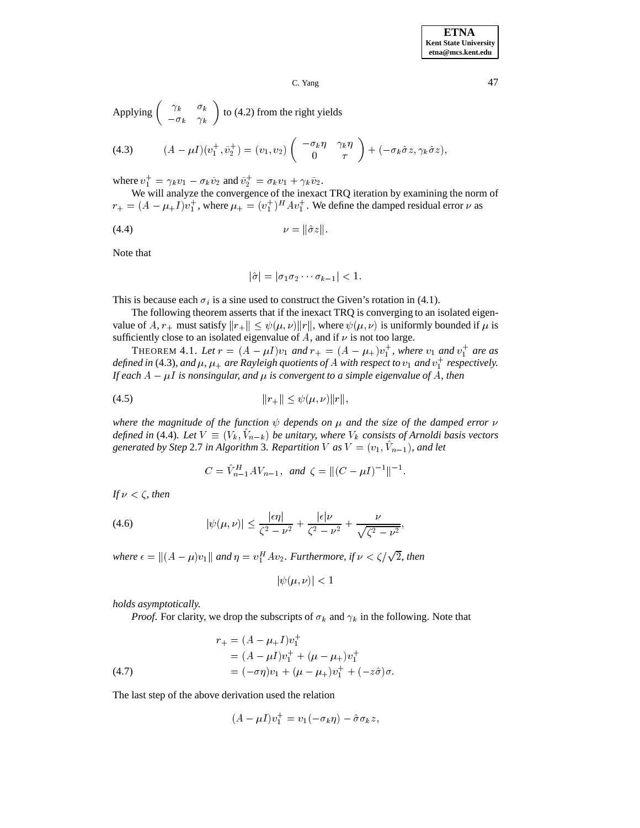**ETNA Kent State University etna@mcs.kent.edu**

 $C.$  Yang  $47$ 

Applying 
$$
\begin{pmatrix} \gamma_k & \sigma_k \\ -\sigma_k & \gamma_k \end{pmatrix}
$$
 to (4.2) from the right yields

(4.3) 
$$
(A - \mu I)(v_1^+, \tilde{v}_2^+) = (v_1, v_2) \begin{pmatrix} -\sigma_k \eta & \gamma_k \eta \\ 0 & \tau \end{pmatrix} + (-\sigma_k \hat{\sigma} z, \gamma_k \hat{\sigma} z),
$$

where  $v_1^+ = \gamma_k v_1 - \sigma_k \tilde{v}_2$  and  $\tilde{v}_2^+ = \sigma_k v_1 + \gamma_k \tilde{v}_2$ .

We will analyze the convergence of the inexact TRQ iteration by examining the norm of  $r_+ = (A - \mu_+ I)v_+^+$ , where  $\mu_+ = (v_+^+)^H A v_+^+$ . We define the damped residual error  $\nu$  as

$$
(4.4) \t\t\t \nu = ||\hat{\sigma}z||.
$$

Note that

$$
|\hat{\sigma}| = |\sigma_1 \sigma_2 \cdots \sigma_{k-1}| < 1.
$$

This is because each  $\sigma_i$  is a sine used to construct the Given's rotation in (4.1).

The following theorem asserts that if the inexact TRQ is converging to an isolated eigenvalue of A,  $r_+$  must satisfy  $||r_+|| \leq \psi(\mu, \nu) ||r||$ , where  $\psi(\mu, \nu)$  is uniformly bounded if  $\mu$  is sufficiently close to an isolated eigenvalue of  $A$ , and if  $\nu$  is not too large.

**THEOREM 4.1.** Let  $r = (A - \mu I)v_1$  and  $r_+ = (A - \mu_+)v_1^+$ , where  $v_1$  and  $v_1^+$  are as defined in (4.3), and  $\mu$ ,  $\mu_+$  are Rayleigh quotients of A with respect to  $v_1$  and  $v_1^+$  respectively. *If each*  $A - \mu I$  *is nonsingular, and*  $\mu$  *is convergent to a simple eigenvalue of* A, then

(4.5) 
$$
||r_+|| \leq \psi(\mu, \nu) ||r||,
$$

*where the magnitude of the function*  $\psi$  depends on  $\mu$  and the size of the damped error  $\nu$ *defined in* (4.4). Let  $V \equiv (V_k, V_{n-k})$  be unitary, where  $V_k$  consists of Arnoldi basis vectors *generated by Step* 2.7 *in Algorithm* 3*. Repartition V as*  $V = (v_1, V_{n-1})$ *, and let* 

$$
C = \hat{V}_{n-1}^H A V_{n-1}, \text{ and } \zeta = ||(C - \mu I)^{-1}||^{-1}.
$$

*If*  $\nu < \zeta$ *, then* 

(4.6) 
$$
|\psi(\mu,\nu)| \leq \frac{|\epsilon \eta|}{\zeta^2 - \nu^2} + \frac{|\epsilon|\nu}{\zeta^2 - \nu^2} + \frac{\nu}{\sqrt{\zeta^2 - \nu^2}},
$$

where  $\epsilon = ||(A - \mu)v_1||$  and  $\eta = v_1^H Av_2$ . Furthermore, if  $\nu < \zeta/\sqrt{2}$ , then

$$
|\psi(\mu,\nu)| < 1
$$

*holds asymptotically.*

*Proof.* For clarity, we drop the subscripts of  $\sigma_k$  and  $\gamma_k$  in the following. Note that

(4.7) 
$$
r_{+} = (A - \mu_{+}I)v_{1}^{+} = (A - \mu I)v_{1}^{+} + (\mu - \mu_{+})v_{1}^{+} = (-\sigma \eta)v_{1} + (\mu - \mu_{+})v_{1}^{+} + (-z\hat{\sigma})\sigma.
$$

The last step of the above derivation used the relation

$$
(A - \mu I)v_1^+ = v_1(-\sigma_k \eta) - \hat{\sigma}\sigma_k z,
$$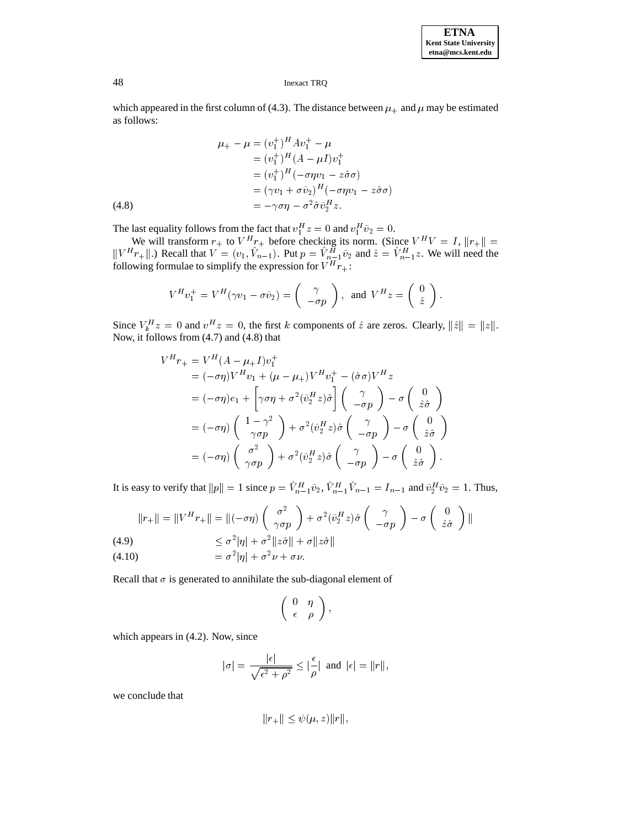which appeared in the first column of (4.3). The distance between  $\mu_+$  and  $\mu$  may be estimated as follows:

(4.8) 
$$
\mu_{+} - \mu = (v_{1}^{+})^{H} A v_{1}^{+} - \mu \n= (v_{1}^{+})^{H} (A - \mu I) v_{1}^{+} \n= (v_{1}^{+})^{H} (-\sigma \eta v_{1} - z\hat{\sigma}\sigma) \n= (\gamma v_{1} + \sigma \tilde{v}_{2})^{H} (-\sigma \eta v_{1} - z\hat{\sigma}\sigma) \n= -\gamma \sigma \eta - \sigma^{2} \hat{\sigma} \tilde{v}_{2}^{H} z.
$$

The last equality follows from the fact that  $v_1^H z = 0$  and  $v_1^H \tilde{v}_2 = 0$ .

We will transform  $r_+$  to  $V^H r_+$  before checking its norm. (Since  $V^H V = I$ ,  $||r_+|| =$  $||V^H r_+||$ .) Recall that  $V = (v_1, V_{n-1})$ . Put  $p = V_{n-1}^H \tilde{v}_2$  and  $\hat{z} = V_{n-1}^H z$ . We will need the following formulae to simplify the expression for  $V^H r_+$ :

$$
V^H v_1^+ = V^H (\gamma v_1 - \sigma \tilde{v}_2) = \begin{pmatrix} \gamma \\ -\sigma p \end{pmatrix}, \ \text{ and } \ V^H z = \begin{pmatrix} 0 \\ \hat{z} \end{pmatrix}.
$$

Since  $V_h^H z = 0$  and  $v^H z = 0$ , the first k components of  $\hat{z}$  are zeros. Clearly,  $\|\hat{z}\| = \|z\|$ . Now, it follows from (4.7) and (4.8) that

$$
V^H r_+ = V^H (A - \mu_+ I) v_1^+
$$
  
=  $(-\sigma \eta) V^H v_1 + (\mu - \mu_+) V^H v_1^+ - (\hat{\sigma} \sigma) V^H z$   
=  $(-\sigma \eta) e_1 + \left[ \gamma \sigma \eta + \sigma^2 (\tilde{v}_2^H z) \hat{\sigma} \right] \begin{pmatrix} \gamma \\ -\sigma p \end{pmatrix} - \sigma \begin{pmatrix} 0 \\ \hat{z}\hat{\sigma} \end{pmatrix}$   
=  $(-\sigma \eta) \begin{pmatrix} 1 - \gamma^2 \\ \gamma \sigma p \end{pmatrix} + \sigma^2 (\tilde{v}_2^H z) \hat{\sigma} \begin{pmatrix} \gamma \\ -\sigma p \end{pmatrix} - \sigma \begin{pmatrix} 0 \\ \hat{z}\hat{\sigma} \end{pmatrix}$   
=  $(-\sigma \eta) \begin{pmatrix} \sigma^2 \\ \gamma \sigma p \end{pmatrix} + \sigma^2 (\tilde{v}_2^H z) \hat{\sigma} \begin{pmatrix} \gamma \\ -\sigma p \end{pmatrix} - \sigma \begin{pmatrix} 0 \\ \hat{z}\hat{\sigma} \end{pmatrix}.$ 

It is easy to verify that  $||p|| = 1$  since  $p = V^H_{n-1}\tilde{v}_2, V^H_{n-1}V_{n-1} = I_{n-1}$  and  $\tilde{v}_2^H\tilde{v}_2 = 1$ . Thus,

$$
||r_+|| = ||V^H r_+|| = ||(-\sigma \eta) \begin{pmatrix} \sigma^2 \\ \gamma \sigma p \end{pmatrix} + \sigma^2 (\tilde{v}_2^H z) \hat{\sigma} \begin{pmatrix} \gamma \\ -\sigma p \end{pmatrix} - \sigma \begin{pmatrix} 0 \\ \hat{z}\hat{\sigma} \end{pmatrix} ||
$$
  
(4.9) 
$$
\leq \sigma^2 |\eta| + \sigma^2 ||z\hat{\sigma}|| + \sigma ||z\hat{\sigma}||
$$

$$
(4.10) \t\t\t = \sigma^2 |\eta| + \sigma^2 \nu + \sigma \nu.
$$

Recall that  $\sigma$  is generated to annihilate the sub-diagonal element of

$$
\left(\begin{array}{cc} 0 & \eta \\ \epsilon & \rho \end{array}\right),
$$

which appears in (4.2). Now, since

$$
|\sigma| = \frac{|\epsilon|}{\sqrt{\epsilon^2 + \rho^2}} \le |\frac{\epsilon}{\rho}| \text{ and } |\epsilon| = ||r||,
$$

we conclude that

$$
||r_+|| \leq \psi(\mu, z)||r||
$$
,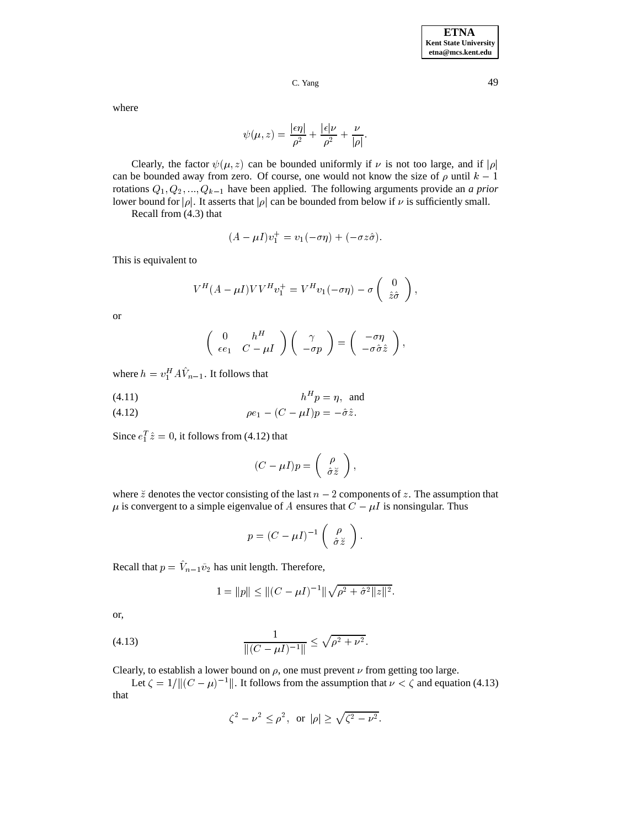where

$$
\psi(\mu, z) = \frac{|\epsilon \eta|}{\rho^2} + \frac{|\epsilon|\nu}{\rho^2} + \frac{\nu}{|\rho|}.
$$

Clearly, the factor  $\psi(\mu, z)$  can be bounded uniformly if  $\nu$  is not too large, and if  $|\rho|$ can be bounded away from zero. Of course, one would not know the size of  $\rho$  until  $k - 1$ rotations  $Q_1, Q_2, ..., Q_{k-1}$  have been applied. The following arguments provide an *a prior* lower bound for  $|\rho|$ . It asserts that  $|\rho|$  can be bounded from below if  $\nu$  is sufficiently small.

Recall from (4.3) that

$$
(A - \mu I)v_1^+ = v_1(-\sigma \eta) + (-\sigma z \hat{\sigma}).
$$

This is equivalent to

$$
V^H(A - \mu I) V V^H v_1^+ = V^H v_1(-\sigma \eta) - \sigma \begin{pmatrix} 0 \\ \hat{z}\hat{\sigma} \end{pmatrix},
$$

or

$$
\left(\begin{array}{cc} 0 & h^H \\ \epsilon e_1 & C - \mu I \end{array}\right)\left(\begin{array}{c} \gamma \\ - \sigma p \end{array}\right) = \left(\begin{array}{c} - \sigma \eta \\ - \sigma \hat{\sigma} \hat{z} \end{array}\right),
$$

where  $h = v_1^H A V_{n-1}$ . It follows that

$$
(4.11) \t\t\t h^H p = \eta, \text{ and}
$$

(4.12) 
$$
\rho e_1 - (C - \mu I) p = -\hat{\sigma} \hat{z}.
$$

Since  $e_1^T \hat{z} = 0$ , it follows from (4.12) that

$$
(C - \mu I)p = \left(\begin{array}{c} \rho \\ \hat{\sigma} \breve{z} \end{array}\right),
$$

where  $\breve{z}$  denotes the vector consisting of the last  $n-2$  components of  $z$ . The assumption that  $\mu$  is convergent to a simple eigenvalue of A ensures that  $C - \mu I$  is nonsingular. Thus

$$
p = (C - \mu I)^{-1} \left( \begin{array}{c} \rho \\ \hat{\sigma} \breve{z} \end{array} \right).
$$

Recall that  $p = V_{n-1}\tilde{v}_2$  has unit length. Therefore,

$$
1 = ||p|| \le ||(C - \mu I)^{-1}||\sqrt{\rho^2 + \hat{\sigma}^2 ||z||^2}.
$$

or,

(4.13) 
$$
\frac{1}{\|(C - \mu I)^{-1}\|} \le \sqrt{\rho^2 + \nu^2}.
$$

Clearly, to establish a lower bound on  $\rho$ , one must prevent  $\nu$  from getting too large.

Let  $\zeta = 1/||(C - \mu)^{-1}||$ . It follows from the assumption that  $\nu < \zeta$  and equation (4.13) that

$$
\zeta^2 - \nu^2 \le \rho^2
$$
, or  $|\rho| \ge \sqrt{\zeta^2 - \nu^2}$ .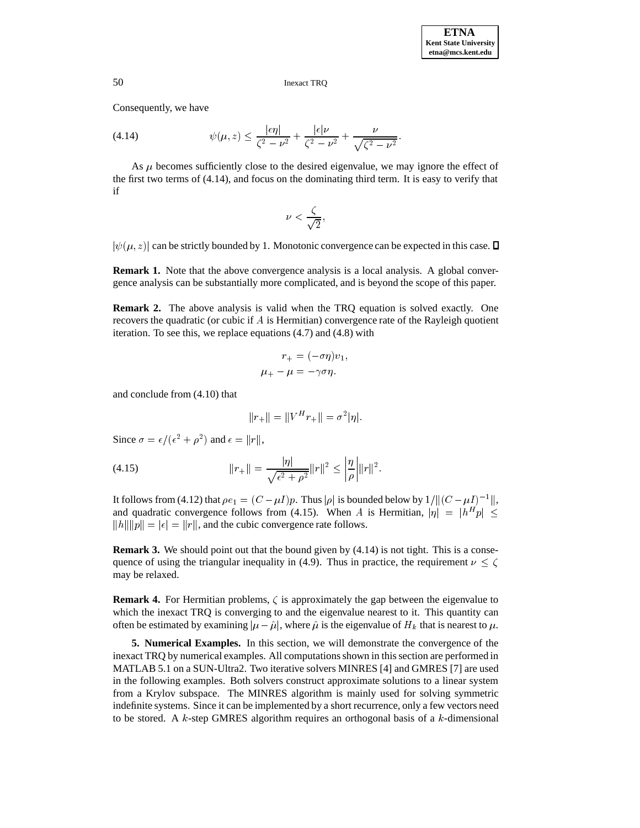Consequently, we have

(4.14) 
$$
\psi(\mu, z) \leq \frac{|\epsilon \eta|}{\zeta^2 - \nu^2} + \frac{|\epsilon|\nu}{\zeta^2 - \nu^2} + \frac{\nu}{\sqrt{\zeta^2 - \nu^2}}.
$$

As  $\mu$  becomes sufficiently close to the desired eigenvalue, we may ignore the effect of the first two terms of (4.14), and focus on the dominating third term. It is easy to verify that if

$$
\nu < \frac{\zeta}{\sqrt{2}},
$$

 $|\psi(\mu, z)|$  can be strictly bounded by 1. Monotonic convergence can be expected in this case.  $\square$ 

**Remark 1.** Note that the above convergence analysis is a local analysis. A global convergence analysis can be substantially more complicated, and is beyond the scope of this paper.

**Remark 2.** The above analysis is valid when the TRQ equation is solved exactly. One recovers the quadratic (or cubic if  $A$  is Hermitian) convergence rate of the Rayleigh quotient iteration. To see this, we replace equations (4.7) and (4.8) with

$$
r_{+} = (-\sigma \eta)v_{1},
$$
  

$$
\mu_{+} - \mu = -\gamma \sigma \eta.
$$

and conclude from (4.10) that

$$
||r_+|| = ||V^H r_+|| = \sigma^2 |\eta|.
$$

Since  $\sigma = \epsilon/(\epsilon^2 + \rho^2)$  and  $\epsilon = ||r||$ ,

(4.15) 
$$
||r_+|| = \frac{|\eta|}{\sqrt{\epsilon^2 + \rho^2}} ||r||^2 \le \left| \frac{\eta}{\rho} \right| ||r||^2.
$$

It follows from (4.12) that  $\rho e_1 = (C - \mu I)p$ . Thus  $|\rho|$  is bounded below by  $1/||(C - \mu I)^{-1}||$ , and quadratic convergence follows from (4.15). When A is Hermitian,  $|\eta| = |h^H p| \leq$  $\Vert h \Vert \Vert p \Vert = |\epsilon| = \Vert r \Vert$ , and the cubic convergence rate follows.

**Remark 3.** We should point out that the bound given by  $(4.14)$  is not tight. This is a consequence of using the triangular inequality in (4.9). Thus in practice, the requirement  $\nu \leq \zeta$ may be relaxed.

**Remark 4.** For Hermitian problems,  $\zeta$  is approximately the gap between the eigenvalue to which the inexact TRQ is converging to and the eigenvalue nearest to it. This quantity can often be estimated by examining  $|\mu - \hat{\mu}|$ , where  $\hat{\mu}$  is the eigenvalue of  $H_k$  that is nearest to  $\mu$ .

**5. Numerical Examples.** In this section, we will demonstrate the convergence of the inexact TRQ by numerical examples. All computations shown in this section are performed in MATLAB 5.1 on a SUN-Ultra2. Two iterative solvers MINRES [4] and GMRES [7] are used in the following examples. Both solvers construct approximate solutions to a linear system from a Krylov subspace. The MINRES algorithm is mainly used for solving symmetric indefinite systems. Since it can be implemented by a short recurrence, only a few vectors need to be stored. A  $k$ -step GMRES algorithm requires an orthogonal basis of a  $k$ -dimensional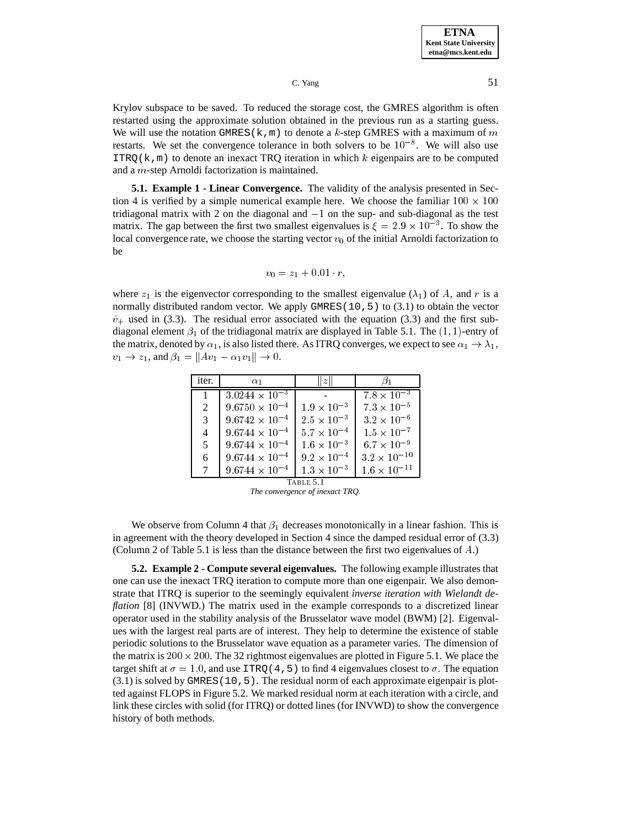Krylov subspace to be saved. To reduced the storage cost, the GMRES algorithm is often restarted using the approximate solution obtained in the previous run as a starting guess. We will use the notation GMRES(k,m) to denote a k-step GMRES with a maximum of m restarts. We set the convergence tolerance in both solvers to be  $10^{-8}$ . We will also use  $ITRQ(k,m)$  to denote an inexact TRQ iteration in which k eigenpairs are to be computed and a m-step Arnoldi factorization is maintained.

**5.1. Example 1 - Linear Convergence.** The validity of the analysis presented in Section 4 is verified by a simple numerical example here. We choose the familiar  $100 \times 100$ tridiagonal matrix with 2 on the diagonal and  $-1$  on the sup- and sub-diagonal as the test matrix. The gap between the first two smallest eigenvalues is  $\xi = 2.9 \times 10^{-3}$ . To show the local convergence rate, we choose the starting vector  $v_0$  of the initial Arnoldi factorization to be

$$
v_0 = z_1 + 0.01 \cdot r,
$$

where  $z_1$  is the eigenvector corresponding to the smallest eigenvalue ( $\lambda_1$ ) of A, and r is a normally distributed random vector. We apply GMRES(10, 5) to (3.1) to obtain the vector  $\tilde{v}_+$  used in (3.3). The residual error associated with the equation (3.3) and the first subdiagonal element  $\beta_1$  of the tridiagonal matrix are displayed in Table 5.1. The  $(1, 1)$ -entry of the matrix, denoted by  $\alpha_1$ , is also listed there. As ITRQ converges, we expect to see  $\alpha_1 \to \lambda_1$ ,  $v_1 \to z_1$ , and  $\beta_1 = ||Av_1 - \alpha_1v_1|| \to 0$ .

| iter.          | $\alpha_1$              | z                    |                      |  |
|----------------|-------------------------|----------------------|----------------------|--|
| $\overline{1}$ | $3.0244 \times 10^{-3}$ |                      | $7.8 \times 10^{-3}$ |  |
| 2              | $9.6750 \times 10^{-4}$ | $1.9 \times 10^{-3}$ | $7.3\times10^{-5}$   |  |
| 3              | $9.6742 \times 10^{-4}$ | $2.5 \times 10^{-3}$ | $3.2 \times 10^{-6}$ |  |
| $\overline{4}$ | $9.6744 \times 10^{-4}$ | $5.7 \times 10^{-4}$ | $1.5\times10^{-7}$   |  |
| 5              | $9.6744 \times 10^{-4}$ | $1.6 \times 10^{-3}$ | $6.7 \times 10^{-9}$ |  |
| 6              | $9.6744 \times 10^{-4}$ | $9.2 \times 10^{-4}$ | $3.2\times10^{-10}$  |  |
| 7              | $9.6744 \times 10^{-4}$ | $1.3\times10^{-3}$   | $1.6\times10^{-11}$  |  |
| TABLE 5.1      |                         |                      |                      |  |

*The convergence of inexact TRQ.*

We observe from Column 4 that  $\beta_1$  decreases monotonically in a linear fashion. This is in agreement with the theory developed in Section 4 since the damped residual error of (3.3) (Column 2 of Table 5.1 is less than the distance between the first two eigenvalues of A.)

**5.2. Example 2 - Compute several eigenvalues.** The following example illustrates that one can use the inexact TRQ iteration to compute more than one eigenpair. We also demonstrate that ITRQ is superior to the seemingly equivalent *inverse iteration with Wielandt deflation* [8] (INVWD.) The matrix used in the example corresponds to a discretized linear operator used in the stability analysis of the Brusselator wave model (BWM) [2]. Eigenvalues with the largest real parts are of interest. They help to determine the existence of stable periodic solutions to the Brusselator wave equation as a parameter varies. The dimension of the matrix is  $200 \times 200$ . The 32 rightmost eigenvalues are plotted in Figure 5.1. We place the target shift at  $\sigma = 1.0$ , and use ITRQ (4,5) to find 4 eigenvalues closest to  $\sigma$ . The equation  $(3.1)$  is solved by GMRES(10,5). The residual norm of each approximate eigenpair is plotted against FLOPS in Figure 5.2. We marked residual norm at each iteration with a circle, and link these circles with solid (for ITRQ) or dotted lines (for INVWD) to show the convergence history of both methods.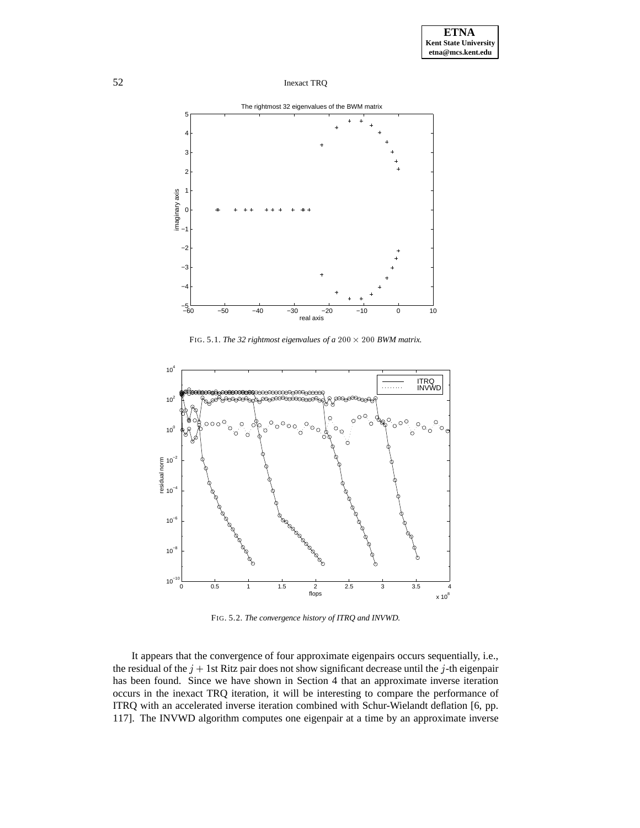

FIG. 5.1. The 32 rightmost eigenvalues of a  $200 \times 200$  BWM matrix.



FIG. 5.2. *The convergence history of ITRQ and INVWD.*

It appears that the convergence of four approximate eigenpairs occurs sequentially, i.e., the residual of the  $j + 1$ st Ritz pair does not show significant decrease until the j-th eigenpair has been found. Since we have shown in Section 4 that an approximate inverse iteration occurs in the inexact TRQ iteration, it will be interesting to compare the performance of ITRQ with an accelerated inverse iteration combined with Schur-Wielandt deflation [6, pp. 117]. The INVWD algorithm computes one eigenpair at a time by an approximate inverse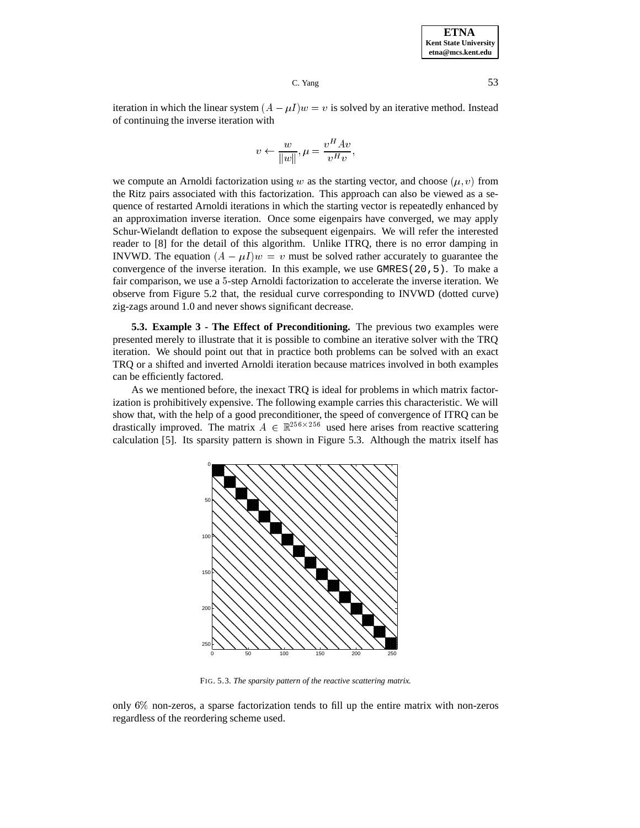iteration in which the linear system  $(A - \mu I)w = v$  is solved by an iterative method. Instead of continuing the inverse iteration with

$$
v \leftarrow \frac{w}{\|w\|}, \mu = \frac{v^H A v}{v^H v},
$$

we compute an Arnoldi factorization using w as the starting vector, and choose  $(\mu, v)$  from the Ritz pairs associated with this factorization. This approach can also be viewed as a sequence of restarted Arnoldi iterations in which the starting vector is repeatedly enhanced by an approximation inverse iteration. Once some eigenpairs have converged, we may apply Schur-Wielandt deflation to expose the subsequent eigenpairs. We will refer the interested reader to [8] for the detail of this algorithm. Unlike ITRQ, there is no error damping in INVWD. The equation  $(A - \mu I)w = v$  must be solved rather accurately to guarantee the convergence of the inverse iteration. In this example, we use  $GMRES(20,5)$ . To make a fair comparison, we use a <sup>5</sup>-step Arnoldi factorization to accelerate the inverse iteration. We observe from Figure 5.2 that, the residual curve corresponding to INVWD (dotted curve) zig-zags around 1.0 and never shows significant decrease.

**5.3. Example 3 - The Effect of Preconditioning.** The previous two examples were presented merely to illustrate that it is possible to combine an iterative solver with the TRQ iteration. We should point out that in practice both problems can be solved with an exact TRQ or a shifted and inverted Arnoldi iteration because matrices involved in both examples can be efficiently factored.

As we mentioned before, the inexact TRQ is ideal for problems in which matrix factorization is prohibitively expensive. The following example carries this characteristic. We will show that, with the help of a good preconditioner, the speed of convergence of ITRQ can be drastically improved. The matrix  $A \in \mathbb{R}^{256 \times 256}$  used here arises from reactive scattering calculation [5]. Its sparsity pattern is shown in Figure 5.3. Although the matrix itself has



FIG. 5.3. *The sparsity pattern of the reactive scattering matrix.*

only  $6\%$  non-zeros, a sparse factorization tends to fill up the entire matrix with non-zeros regardless of the reordering scheme used.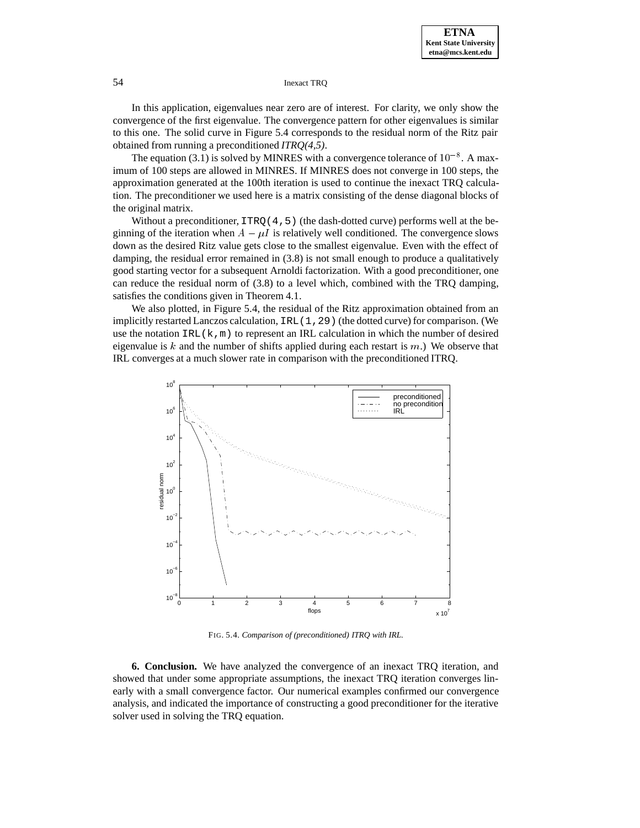In this application, eigenvalues near zero are of interest. For clarity, we only show the convergence of the first eigenvalue. The convergence pattern for other eigenvalues is similar to this one. The solid curve in Figure 5.4 corresponds to the residual norm of the Ritz pair obtained from running a preconditioned *ITRQ(4,5)*.

The equation (3.1) is solved by MINRES with a convergence tolerance of  $10^{-8}$ . A maximum of 100 steps are allowed in MINRES. If MINRES does not converge in 100 steps, the approximation generated at the 100th iteration is used to continue the inexact TRQ calculation. The preconditioner we used here is a matrix consisting of the dense diagonal blocks of the original matrix.

Without a preconditioner,  $ITRO(4,5)$  (the dash-dotted curve) performs well at the beginning of the iteration when  $A - \mu I$  is relatively well conditioned. The convergence slows down as the desired Ritz value gets close to the smallest eigenvalue. Even with the effect of damping, the residual error remained in  $(3.8)$  is not small enough to produce a qualitatively good starting vector for a subsequent Arnoldi factorization. With a good preconditioner, one can reduce the residual norm of (3.8) to a level which, combined with the TRQ damping, satisfies the conditions given in Theorem 4.1.

We also plotted, in Figure 5.4, the residual of the Ritz approximation obtained from an implicitly restarted Lanczos calculation, IRL(1,29) (the dotted curve) for comparison. (We use the notation  $IRL(k,m)$  to represent an IRL calculation in which the number of desired eigenvalue is k and the number of shifts applied during each restart is  $m$ .) We observe that IRL converges at a much slower rate in comparison with the preconditioned ITRQ.



FIG. 5.4. *Comparison of (preconditioned) ITRQ with IRL.*

**6. Conclusion.** We have analyzed the convergence of an inexact TRQ iteration, and showed that under some appropriate assumptions, the inexact TRQ iteration converges linearly with a small convergence factor. Our numerical examples confirmed our convergence analysis, and indicated the importance of constructing a good preconditioner for the iterative solver used in solving the TRQ equation.